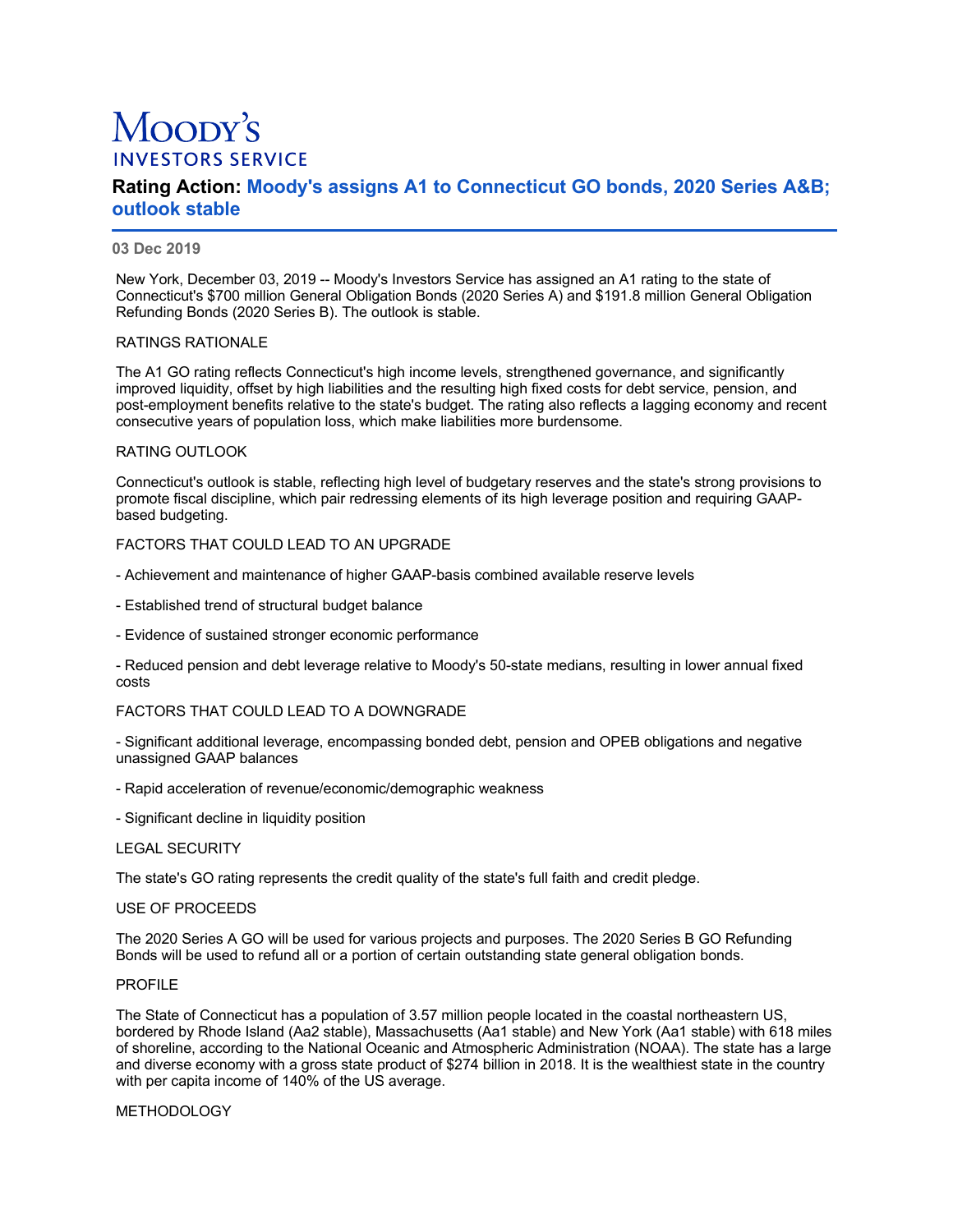# Moopy's **INVESTORS SERVICE**

# **Rating Action: Moody's assigns A1 to Connecticut GO bonds, 2020 Series A&B; outlook stable**

# **03 Dec 2019**

New York, December 03, 2019 -- Moody's Investors Service has assigned an A1 rating to the state of Connecticut's \$700 million General Obligation Bonds (2020 Series A) and \$191.8 million General Obligation Refunding Bonds (2020 Series B). The outlook is stable.

# RATINGS RATIONALE

The A1 GO rating reflects Connecticut's high income levels, strengthened governance, and significantly improved liquidity, offset by high liabilities and the resulting high fixed costs for debt service, pension, and post-employment benefits relative to the state's budget. The rating also reflects a lagging economy and recent consecutive years of population loss, which make liabilities more burdensome.

### RATING OUTLOOK

Connecticut's outlook is stable, reflecting high level of budgetary reserves and the state's strong provisions to promote fiscal discipline, which pair redressing elements of its high leverage position and requiring GAAPbased budgeting.

# FACTORS THAT COULD LEAD TO AN UPGRADE

- Achievement and maintenance of higher GAAP-basis combined available reserve levels
- Established trend of structural budget balance
- Evidence of sustained stronger economic performance

- Reduced pension and debt leverage relative to Moody's 50-state medians, resulting in lower annual fixed costs

# FACTORS THAT COULD LEAD TO A DOWNGRADE

- Significant additional leverage, encompassing bonded debt, pension and OPEB obligations and negative unassigned GAAP balances

- Rapid acceleration of revenue/economic/demographic weakness
- Significant decline in liquidity position

#### LEGAL SECURITY

The state's GO rating represents the credit quality of the state's full faith and credit pledge.

#### USE OF PROCEEDS

The 2020 Series A GO will be used for various projects and purposes. The 2020 Series B GO Refunding Bonds will be used to refund all or a portion of certain outstanding state general obligation bonds.

#### PROFILE

The State of Connecticut has a population of 3.57 million people located in the coastal northeastern US, bordered by Rhode Island (Aa2 stable), Massachusetts (Aa1 stable) and New York (Aa1 stable) with 618 miles of shoreline, according to the National Oceanic and Atmospheric Administration (NOAA). The state has a large and diverse economy with a gross state product of \$274 billion in 2018. It is the wealthiest state in the country with per capita income of 140% of the US average.

#### METHODOLOGY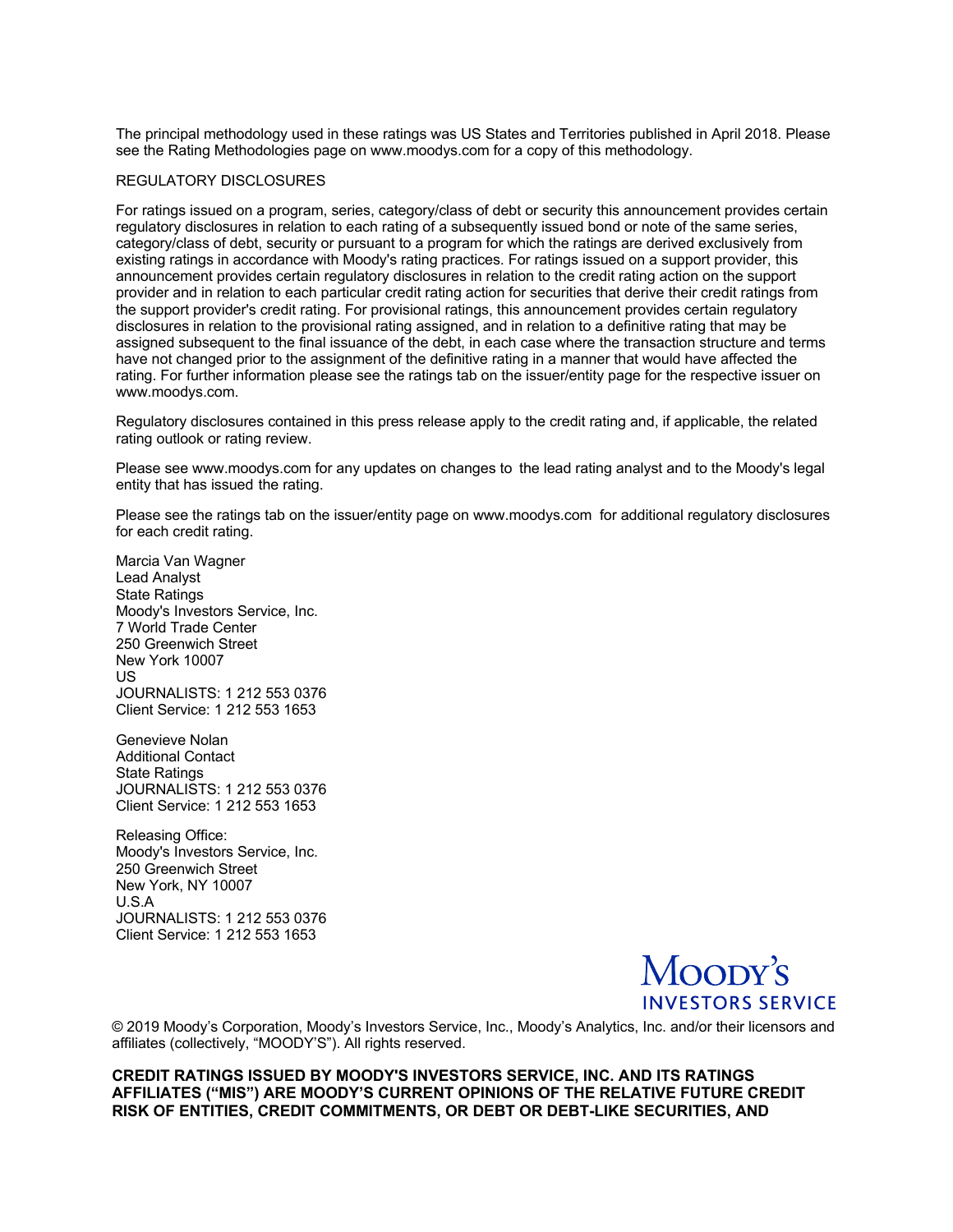The principal methodology used in these ratings was US States and Territories published in April 2018. Please see the Rating Methodologies page on www.moodys.com for a copy of this methodology.

#### REGULATORY DISCLOSURES

For ratings issued on a program, series, category/class of debt or security this announcement provides certain regulatory disclosures in relation to each rating of a subsequently issued bond or note of the same series, category/class of debt, security or pursuant to a program for which the ratings are derived exclusively from existing ratings in accordance with Moody's rating practices. For ratings issued on a support provider, this announcement provides certain regulatory disclosures in relation to the credit rating action on the support provider and in relation to each particular credit rating action for securities that derive their credit ratings from the support provider's credit rating. For provisional ratings, this announcement provides certain regulatory disclosures in relation to the provisional rating assigned, and in relation to a definitive rating that may be assigned subsequent to the final issuance of the debt, in each case where the transaction structure and terms have not changed prior to the assignment of the definitive rating in a manner that would have affected the rating. For further information please see the ratings tab on the issuer/entity page for the respective issuer on www.moodys.com.

Regulatory disclosures contained in this press release apply to the credit rating and, if applicable, the related rating outlook or rating review.

Please see www.moodys.com for any updates on changes to the lead rating analyst and to the Moody's legal entity that has issued the rating.

Please see the ratings tab on the issuer/entity page on www.moodys.com for additional regulatory disclosures for each credit rating.

Marcia Van Wagner Lead Analyst State Ratings Moody's Investors Service, Inc. 7 World Trade Center 250 Greenwich Street New York 10007 US JOURNALISTS: 1 212 553 0376 Client Service: 1 212 553 1653

Genevieve Nolan Additional Contact State Ratings JOURNALISTS: 1 212 553 0376 Client Service: 1 212 553 1653

Releasing Office: Moody's Investors Service, Inc. 250 Greenwich Street New York, NY 10007 U.S.A JOURNALISTS: 1 212 553 0376 Client Service: 1 212 553 1653



© 2019 Moody's Corporation, Moody's Investors Service, Inc., Moody's Analytics, Inc. and/or their licensors and affiliates (collectively, "MOODY'S"). All rights reserved.

**CREDIT RATINGS ISSUED BY MOODY'S INVESTORS SERVICE, INC. AND ITS RATINGS AFFILIATES ("MIS") ARE MOODY'S CURRENT OPINIONS OF THE RELATIVE FUTURE CREDIT RISK OF ENTITIES, CREDIT COMMITMENTS, OR DEBT OR DEBT-LIKE SECURITIES, AND**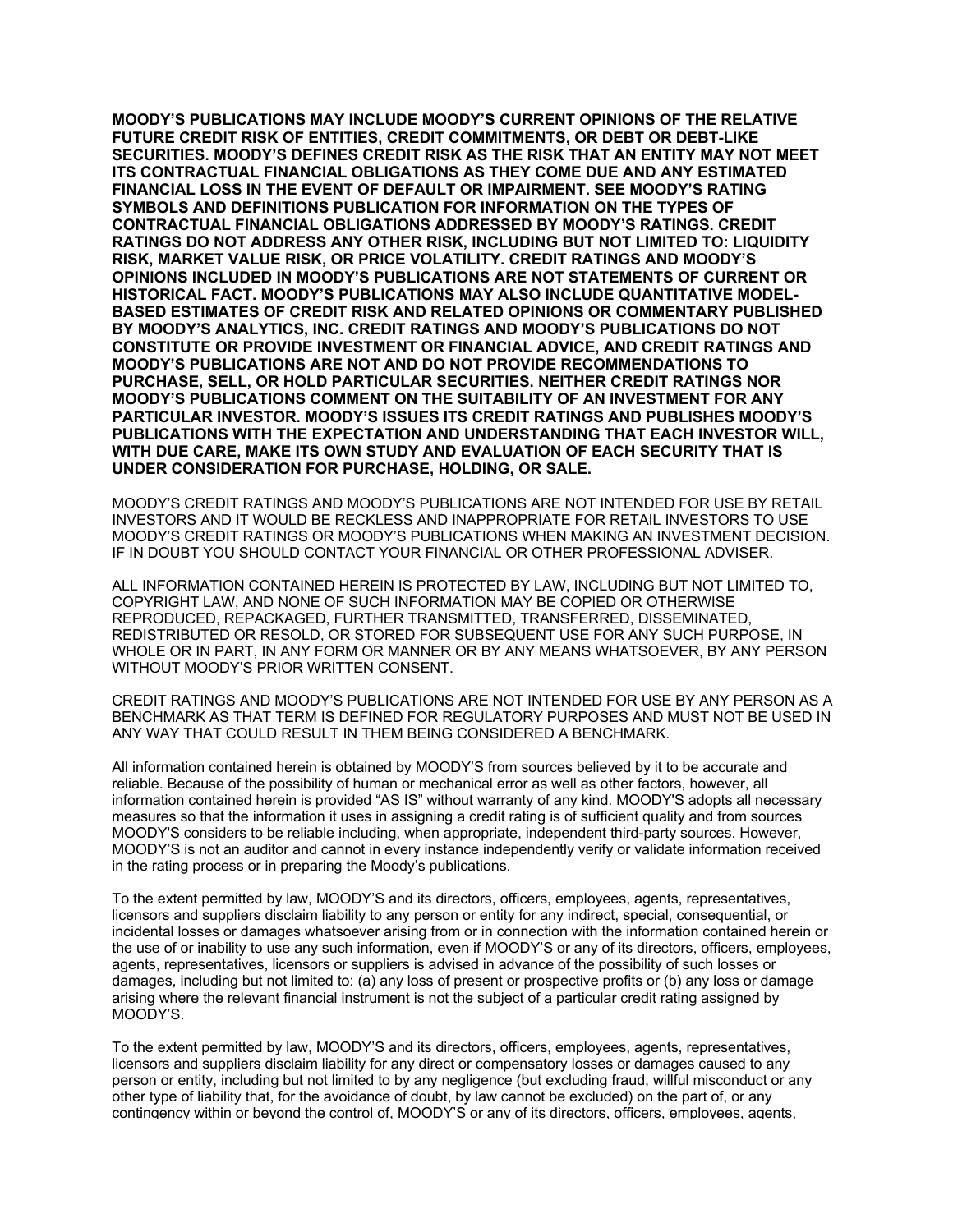**MOODY'S PUBLICATIONS MAY INCLUDE MOODY'S CURRENT OPINIONS OF THE RELATIVE FUTURE CREDIT RISK OF ENTITIES, CREDIT COMMITMENTS, OR DEBT OR DEBT-LIKE SECURITIES. MOODY'S DEFINES CREDIT RISK AS THE RISK THAT AN ENTITY MAY NOT MEET ITS CONTRACTUAL FINANCIAL OBLIGATIONS AS THEY COME DUE AND ANY ESTIMATED FINANCIAL LOSS IN THE EVENT OF DEFAULT OR IMPAIRMENT. SEE MOODY'S RATING SYMBOLS AND DEFINITIONS PUBLICATION FOR INFORMATION ON THE TYPES OF CONTRACTUAL FINANCIAL OBLIGATIONS ADDRESSED BY MOODY'S RATINGS. CREDIT RATINGS DO NOT ADDRESS ANY OTHER RISK, INCLUDING BUT NOT LIMITED TO: LIQUIDITY RISK, MARKET VALUE RISK, OR PRICE VOLATILITY. CREDIT RATINGS AND MOODY'S OPINIONS INCLUDED IN MOODY'S PUBLICATIONS ARE NOT STATEMENTS OF CURRENT OR HISTORICAL FACT. MOODY'S PUBLICATIONS MAY ALSO INCLUDE QUANTITATIVE MODEL-BASED ESTIMATES OF CREDIT RISK AND RELATED OPINIONS OR COMMENTARY PUBLISHED BY MOODY'S ANALYTICS, INC. CREDIT RATINGS AND MOODY'S PUBLICATIONS DO NOT CONSTITUTE OR PROVIDE INVESTMENT OR FINANCIAL ADVICE, AND CREDIT RATINGS AND MOODY'S PUBLICATIONS ARE NOT AND DO NOT PROVIDE RECOMMENDATIONS TO PURCHASE, SELL, OR HOLD PARTICULAR SECURITIES. NEITHER CREDIT RATINGS NOR MOODY'S PUBLICATIONS COMMENT ON THE SUITABILITY OF AN INVESTMENT FOR ANY PARTICULAR INVESTOR. MOODY'S ISSUES ITS CREDIT RATINGS AND PUBLISHES MOODY'S PUBLICATIONS WITH THE EXPECTATION AND UNDERSTANDING THAT EACH INVESTOR WILL, WITH DUE CARE, MAKE ITS OWN STUDY AND EVALUATION OF EACH SECURITY THAT IS UNDER CONSIDERATION FOR PURCHASE, HOLDING, OR SALE.** 

MOODY'S CREDIT RATINGS AND MOODY'S PUBLICATIONS ARE NOT INTENDED FOR USE BY RETAIL INVESTORS AND IT WOULD BE RECKLESS AND INAPPROPRIATE FOR RETAIL INVESTORS TO USE MOODY'S CREDIT RATINGS OR MOODY'S PUBLICATIONS WHEN MAKING AN INVESTMENT DECISION. IF IN DOUBT YOU SHOULD CONTACT YOUR FINANCIAL OR OTHER PROFESSIONAL ADVISER.

ALL INFORMATION CONTAINED HEREIN IS PROTECTED BY LAW, INCLUDING BUT NOT LIMITED TO, COPYRIGHT LAW, AND NONE OF SUCH INFORMATION MAY BE COPIED OR OTHERWISE REPRODUCED, REPACKAGED, FURTHER TRANSMITTED, TRANSFERRED, DISSEMINATED, REDISTRIBUTED OR RESOLD, OR STORED FOR SUBSEQUENT USE FOR ANY SUCH PURPOSE, IN WHOLE OR IN PART, IN ANY FORM OR MANNER OR BY ANY MEANS WHATSOEVER, BY ANY PERSON WITHOUT MOODY'S PRIOR WRITTEN CONSENT.

CREDIT RATINGS AND MOODY'S PUBLICATIONS ARE NOT INTENDED FOR USE BY ANY PERSON AS A BENCHMARK AS THAT TERM IS DEFINED FOR REGULATORY PURPOSES AND MUST NOT BE USED IN ANY WAY THAT COULD RESULT IN THEM BEING CONSIDERED A BENCHMARK.

All information contained herein is obtained by MOODY'S from sources believed by it to be accurate and reliable. Because of the possibility of human or mechanical error as well as other factors, however, all information contained herein is provided "AS IS" without warranty of any kind. MOODY'S adopts all necessary measures so that the information it uses in assigning a credit rating is of sufficient quality and from sources MOODY'S considers to be reliable including, when appropriate, independent third-party sources. However, MOODY'S is not an auditor and cannot in every instance independently verify or validate information received in the rating process or in preparing the Moody's publications.

To the extent permitted by law, MOODY'S and its directors, officers, employees, agents, representatives, licensors and suppliers disclaim liability to any person or entity for any indirect, special, consequential, or incidental losses or damages whatsoever arising from or in connection with the information contained herein or the use of or inability to use any such information, even if MOODY'S or any of its directors, officers, employees, agents, representatives, licensors or suppliers is advised in advance of the possibility of such losses or damages, including but not limited to: (a) any loss of present or prospective profits or (b) any loss or damage arising where the relevant financial instrument is not the subject of a particular credit rating assigned by MOODY'S.

To the extent permitted by law, MOODY'S and its directors, officers, employees, agents, representatives, licensors and suppliers disclaim liability for any direct or compensatory losses or damages caused to any person or entity, including but not limited to by any negligence (but excluding fraud, willful misconduct or any other type of liability that, for the avoidance of doubt, by law cannot be excluded) on the part of, or any contingency within or beyond the control of, MOODY'S or any of its directors, officers, employees, agents,